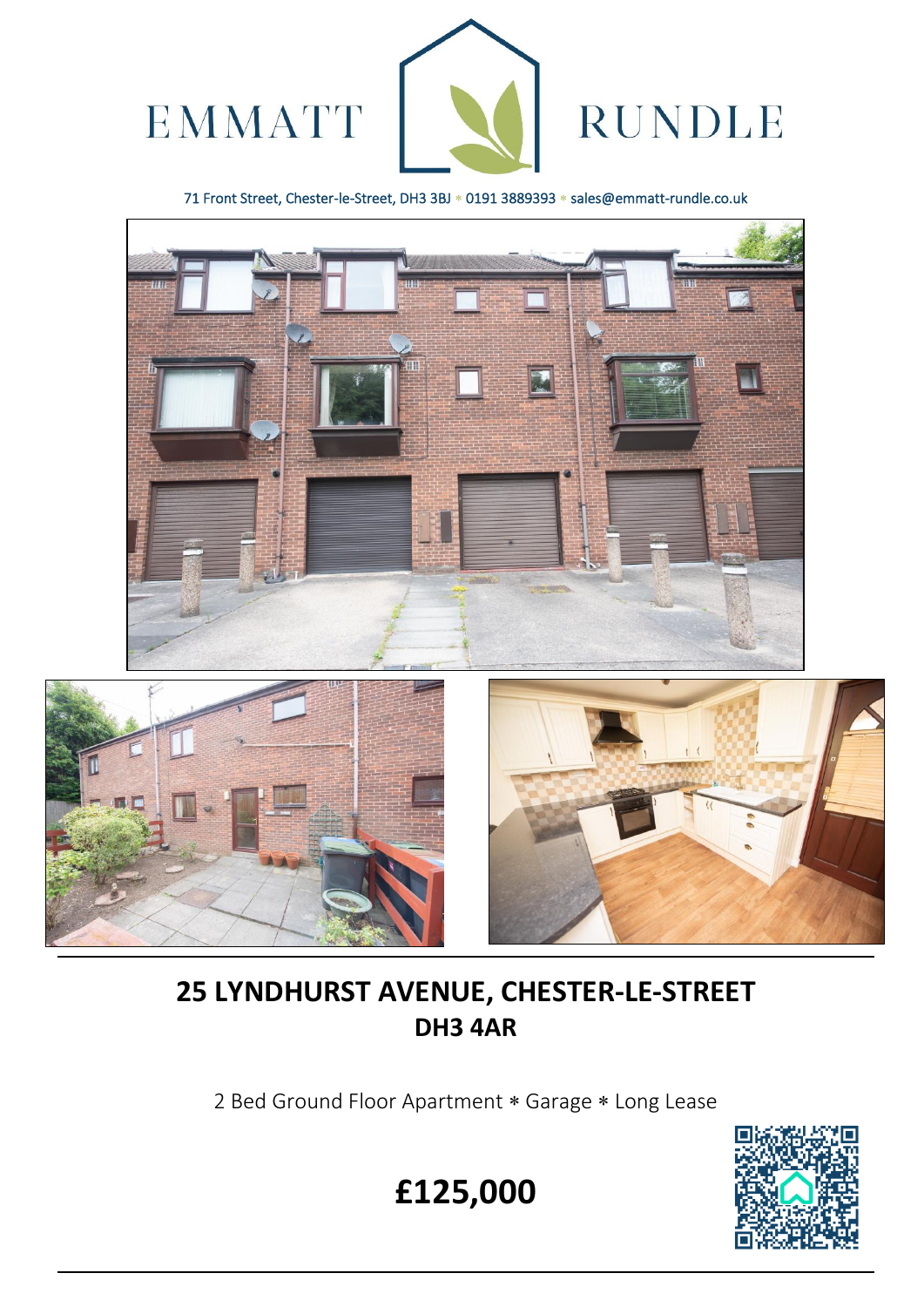

71 Front Street, Chester-le-Street, DH3 3BJ \* 0191 3889393 \* sales@emmatt-rundle.co.uk





 $\overline{a}$ 



# **25 LYNDHURST AVENUE, CHESTER-LE-STREET DH3 4AR**

2 Bed Ground Floor Apartment \* Garage \* Long Lease



**£125,000**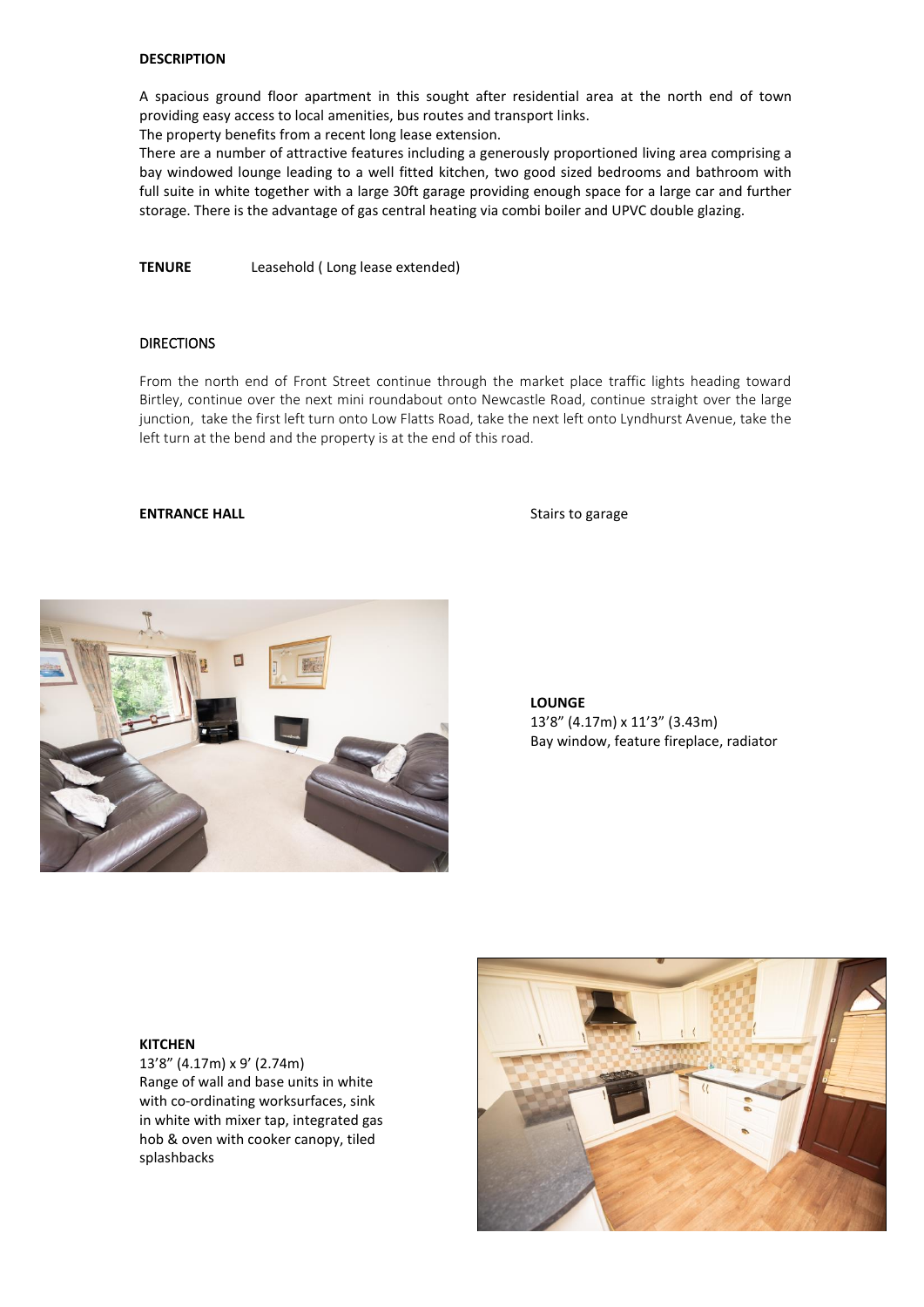## **DESCRIPTION**

A spacious ground floor apartment in this sought after residential area at the north end of town providing easy access to local amenities, bus routes and transport links.

The property benefits from a recent long lease extension.

There are a number of attractive features including a generously proportioned living area comprising a bay windowed lounge leading to a well fitted kitchen, two good sized bedrooms and bathroom with full suite in white together with a large 30ft garage providing enough space for a large car and further storage. There is the advantage of gas central heating via combi boiler and UPVC double glazing.

**TENURE** Leasehold ( Long lease extended)

#### **DIRECTIONS**

From the north end of Front Street continue through the market place traffic lights heading toward Birtley, continue over the next mini roundabout onto Newcastle Road, continue straight over the large junction, take the first left turn onto Low Flatts Road, take the next left onto Lyndhurst Avenue, take the left turn at the bend and the property is at the end of this road.

#### **ENTRANCE HALL** Stairs to garage



**LOUNGE**  13'8" (4.17m) x 11'3" (3.43m) Bay window, feature fireplace, radiator

#### **KITCHEN**

13'8" (4.17m) x 9' (2.74m) Range of wall and base units in white with co-ordinating worksurfaces, sink in white with mixer tap, integrated gas hob & oven with cooker canopy, tiled splashbacks

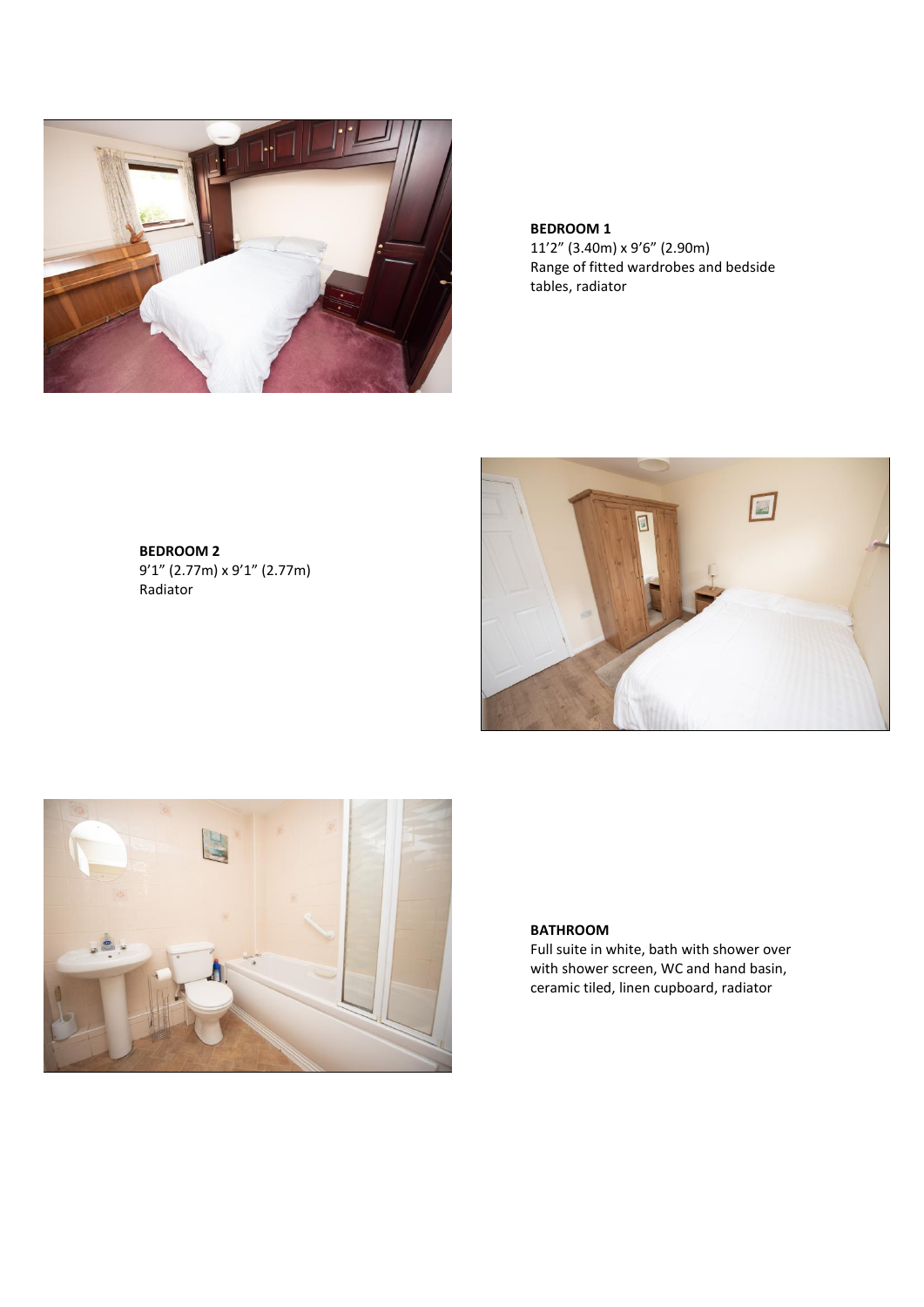

**BEDROOM 1** 11'2" (3.40m) x 9'6" (2.90m) Range of fitted wardrobes and bedside tables, radiator

**BEDROOM 2** 9'1" (2.77m) x 9'1" (2.77m) Radiator





# **BATHROOM**

Full suite in white, bath with shower over with shower screen, WC and hand basin, ceramic tiled, linen cupboard, radiator